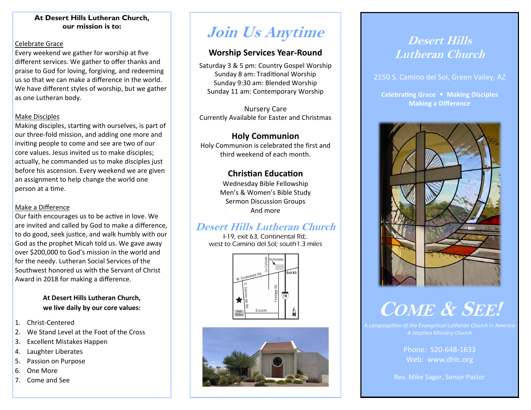#### **At Desert Hills Lutheran Church, our mission is to:**

#### Celebrate Grace

Every weekend we gather for worship at five different services. We gather to offer thanks and praise to God for loving, forgiving, and redeeming us so that we can make a difference in the world. We have different styles of worship, but we gather as one Lutheran body.

#### Make Disciples

Making disciples, starting with ourselves, is part of our three-fold mission, and adding one more and inviting people to come and see are two of our core values. Jesus invited us to make disciples; actually, he commanded us to make disciples just before his ascension. Every weekend we are given an assignment to help change the world one person at a time.

#### Make a Difference

Our faith encourages us to be active in love. We are invited and called by God to make a difference, to do good, seek justice, and walk humbly with our God as the prophet Micah told us. We gave away over \$200,000 to God's mission in the world and for the needy. Lutheran Social Services of the Southwest honored us with the Servant of Christ Award in 2018 for making a difference.

#### **At Desert Hills Lutheran Church, we live daily by our core values:**

- 1. Christ-Centered
- 2. We Stand Level at the Foot of the Cross
- 3. Excellent Mistakes Happen
- 4. Laughter Liberates
- 5. Passion on Purpose
- 6. One More
- 7. Come and See

## **Join Us Anytime**

#### **Worship Services Year-Round**

Saturday 3 & 5 pm: Country Gospel Worship Sunday 8 am: Traditional Worship Sunday 9:30 am: Blended Worship Sunday 11 am: Contemporary Worship

Nursery Care Currently Available for Easter and Christmas

#### **Holy Communion**

Holy Communion is celebrated the first and third weekend of each month.

#### **Christian Education**

Wednesday Bible Fellowship Men's & Women's Bible Study Sermon Discussion Groups And more

### **Desert Hills Lutheran Church**

I-19, exit 63, Continental Rd;. west to Camino del Sol; south1.3 miles





## **Desert Hills Lutheran Church**

2150 S. Camino del Sol, Green Valley, AZ

**Celebrating Grace Making Disciples Making a Difference**



# **COME & SEE!**

*A congregation of the Evangelical Lutheran Church in America*

Phone: 520-648-1633 Web: www.dhlc.org

Rev. Mike Sager, Senior Pastor